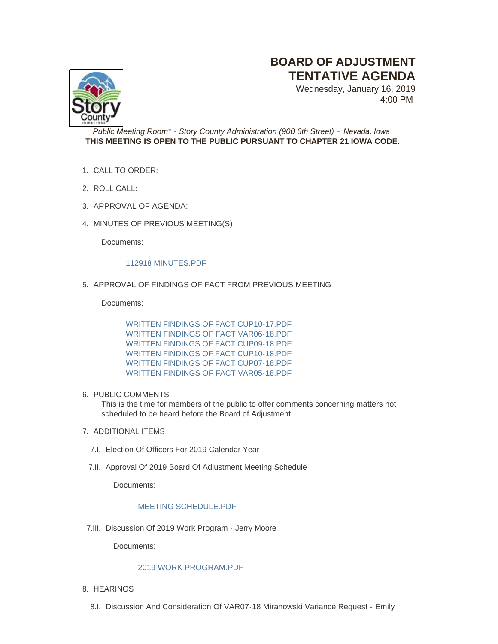# **BOARD OF ADJUSTMENT TENTATIVE AGENDA**

Wednesday, January 16, 2019 4:00 PM



*Public Meeting Room\* - Story County Administration (900 6th Street) – Nevada, Iowa* **THIS MEETING IS OPEN TO THE PUBLIC PURSUANT TO CHAPTER 21 IOWA CODE.**

- CALL TO ORDER: 1.
- 2. ROLL CALL:
- 3. APPROVAL OF AGENDA:
- 4. MINUTES OF PREVIOUS MEETING(S)

Documents:

### [112918 MINUTES.PDF](http://www.storycountyiowa.gov/AgendaCenter/ViewFile/Item/13034?fileID=10520)

5. APPROVAL OF FINDINGS OF FACT FROM PREVIOUS MEETING

Documents:

[WRITTEN FINDINGS OF FACT CUP10-17.PDF](http://www.storycountyiowa.gov/AgendaCenter/ViewFile/Item/13661?fileID=10524) [WRITTEN FINDINGS OF FACT VAR06-18.PDF](http://www.storycountyiowa.gov/AgendaCenter/ViewFile/Item/13661?fileID=10525) [WRITTEN FINDINGS OF FACT CUP09-18.PDF](http://www.storycountyiowa.gov/AgendaCenter/ViewFile/Item/13661?fileID=10528) [WRITTEN FINDINGS OF FACT CUP10-18.PDF](http://www.storycountyiowa.gov/AgendaCenter/ViewFile/Item/13661?fileID=10529) [WRITTEN FINDINGS OF FACT CUP07-18.PDF](http://www.storycountyiowa.gov/AgendaCenter/ViewFile/Item/13661?fileID=10530) [WRITTEN FINDINGS OF FACT VAR05-18.PDF](http://www.storycountyiowa.gov/AgendaCenter/ViewFile/Item/13661?fileID=10531)

6. PUBLIC COMMENTS

This is the time for members of the public to offer comments concerning matters not scheduled to be heard before the Board of Adjustment

- 7. ADDITIONAL ITEMS
	- 7.I. Election Of Officers For 2019 Calendar Year
- 7.II. Approval Of 2019 Board Of Adjustment Meeting Schedule

Documents:

#### [MEETING SCHEDULE.PDF](http://www.storycountyiowa.gov/AgendaCenter/ViewFile/Item/13657?fileID=10519)

7.III. Discussion Of 2019 Work Program - Jerry Moore

Documents:

## [2019 WORK PROGRAM.PDF](http://www.storycountyiowa.gov/AgendaCenter/ViewFile/Item/13662?fileID=10532)

- 8. HEARINGS
	- 8.I. Discussion And Consideration Of VAR07-18 Miranowski Variance Request Emily